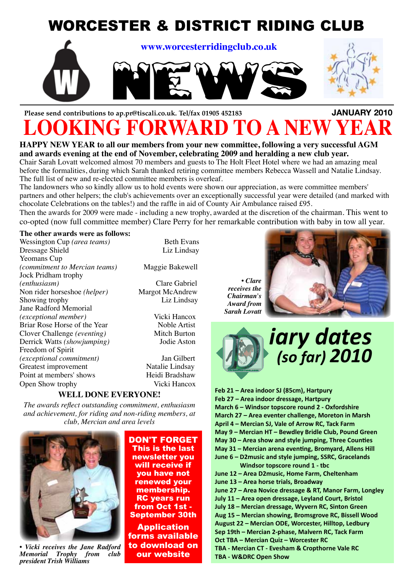

# **Please send contributions to ap.pr@tiscali.co.uk. Tel/fax 01905 452183 JANUARY 2010 FORWARD TO A NEW YEAR**

**HAPPY NEW YEAR to all our members from your new committee, following a very successful AGM and awards evening at the end of November, celebrating 2009 and heralding a new club year.** Chair Sarah Lovatt welcomed almost 70 members and guests to The Holt Fleet Hotel where we had an amazing meal

before the formalities, during which Sarah thanked retiring committee members Rebecca Wassell and Natalie Lindsay. The full list of new and re-elected committee members is overleaf.

The landowners who so kindly allow us to hold events were shown our appreciation, as were committee members' partners and other helpers; the club's achievements over an exceptionally successful year were detailed (and marked with chocolate Celebrations on the tables!) and the raffle in aid of County Air Ambulance raised £95.

Then the awards for 2009 were made - including a new trophy, awarded at the discretion of the chairman. This went to co-opted (now full committee member) Clare Perry for her remarkable contribution with baby in tow all year.

#### **The other awards were as follows:**

Wessington Cup (*area teams*) Beth Evans Dressage Shield Liz Lindsay Yeomans Cup *(commitment to Mercian teams)* Maggie Bakewell Jock Pridham trophy *(enthusiasm)* Clare Gabriel Non rider horseshoe *(helper)* Margot McAndrew<br>Showing trophy Liz Lindsay Showing trophy Jane Radford Memorial *(exceptional member)* Vicki Hancox Briar Rose Horse of the Year Noble Artist<br>Clover Challenge (eventing) Mitch Burton Clover Challenge *(eventing)* Derrick Watts *(showjumping)* Jodie Aston Freedom of Spirit *(exceptional commitment)* Jan Gilbert Greatest improvement Natalie Lindsay Point at members' shows Heidi Bradshaw Open Show trophy Vicki Hancox

#### **WELL DONE EVERYONE!**

*The awards reflect outstanding commitment, enthusiasm and achievement, for riding and non-riding members, at club, Mercian and area levels*



*• Vicki receives the Jane Radford Memorial Trophy from club president Trish Williams*

DON'T FORGET This is the last newsletter you will receive if you have not renewed your membership. RC years run from Oct 1st - September 30th

Application forms available to download on our website

*• Clare receives the Chairman's Award from Sarah Lovatt*





**Feb 21 – Area indoor SJ (85cm), Hartpury Feb 27 – Area indoor dressage, Hartpury March 6 – Windsor topscore round 2 - Oxfordshire March 27 – Area eventer challenge, Moreton in Marsh April 4 – Mercian SJ, Vale of Arrow RC, Tack Farm May 9 – Mercian HT – Bewdley Bridle Club, Pound Green May 30 – Area show and style jumping, Three Counties May 31 – Mercian arena eventing, Bromyard, Allens Hill June 6 – D2music and style jumping, SSRC, Gracelands Windsor topscore round 1 - tbc June 12 – Area D2music, Home Farm, Cheltenham June 13 – Area horse trials, Broadway June 27 – Area Novice dressage & RT, Manor Farm, Longley July 11 – Area open dressage, Leyland Court, Bristol July 18 – Mercian dressage, Wyvern RC, Sinton Green Aug 15 – Mercian showing, Bromsgrove RC, Bissell Wood August 22 – Mercian ODE, Worcester, Hilltop, Ledbury Sep 19th – Mercian 2-phase, Malvern RC, Tack Farm Oct TBA – Mercian Quiz – Worcester RC TBA - Mercian CT - Evesham & Cropthorne Vale RC TBA - W&DRC Open Show**